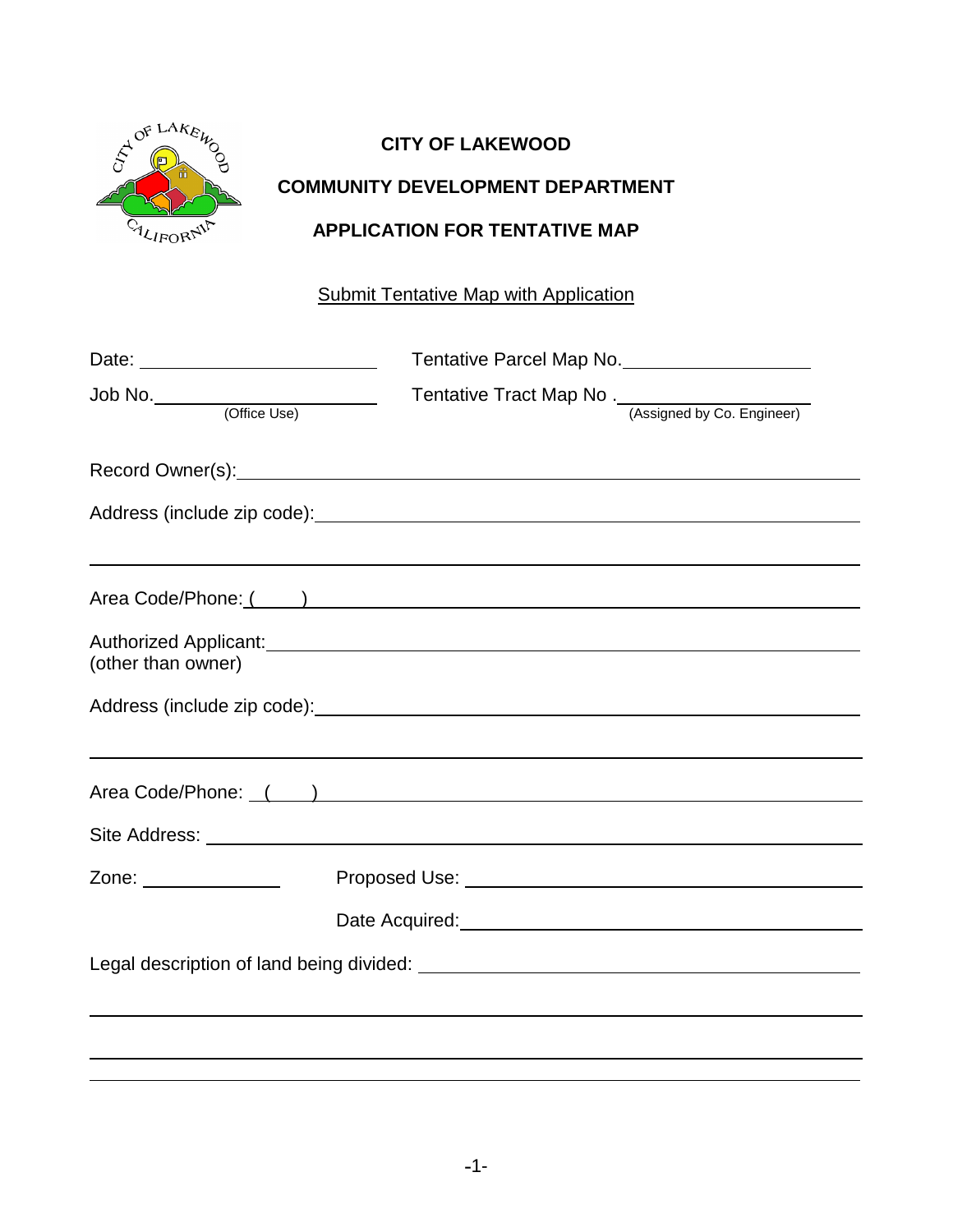

# **CITY OF LAKEWOOD**

## **COMMUNITY DEVELOPMENT DEPARTMENT**

## **APPLICATION FOR TENTATIVE MAP**

## **Submit Tentative Map with Application**

|                                   | Tentative Parcel Map No.                           |                                                                                                                      |
|-----------------------------------|----------------------------------------------------|----------------------------------------------------------------------------------------------------------------------|
|                                   | Tentative Tract Map No. (Assigned by Co. Engineer) |                                                                                                                      |
| Record Owner(s): Necord Owner(s): |                                                    |                                                                                                                      |
|                                   |                                                    |                                                                                                                      |
|                                   |                                                    |                                                                                                                      |
| (other than owner)                |                                                    |                                                                                                                      |
|                                   |                                                    |                                                                                                                      |
| Area Code/Phone: ( )              |                                                    |                                                                                                                      |
|                                   |                                                    |                                                                                                                      |
| Zone: ______________              |                                                    |                                                                                                                      |
|                                   |                                                    | Date Acquired: <u>contract and a series of the series of the series of the series of the series of the series of</u> |
|                                   |                                                    |                                                                                                                      |
|                                   |                                                    |                                                                                                                      |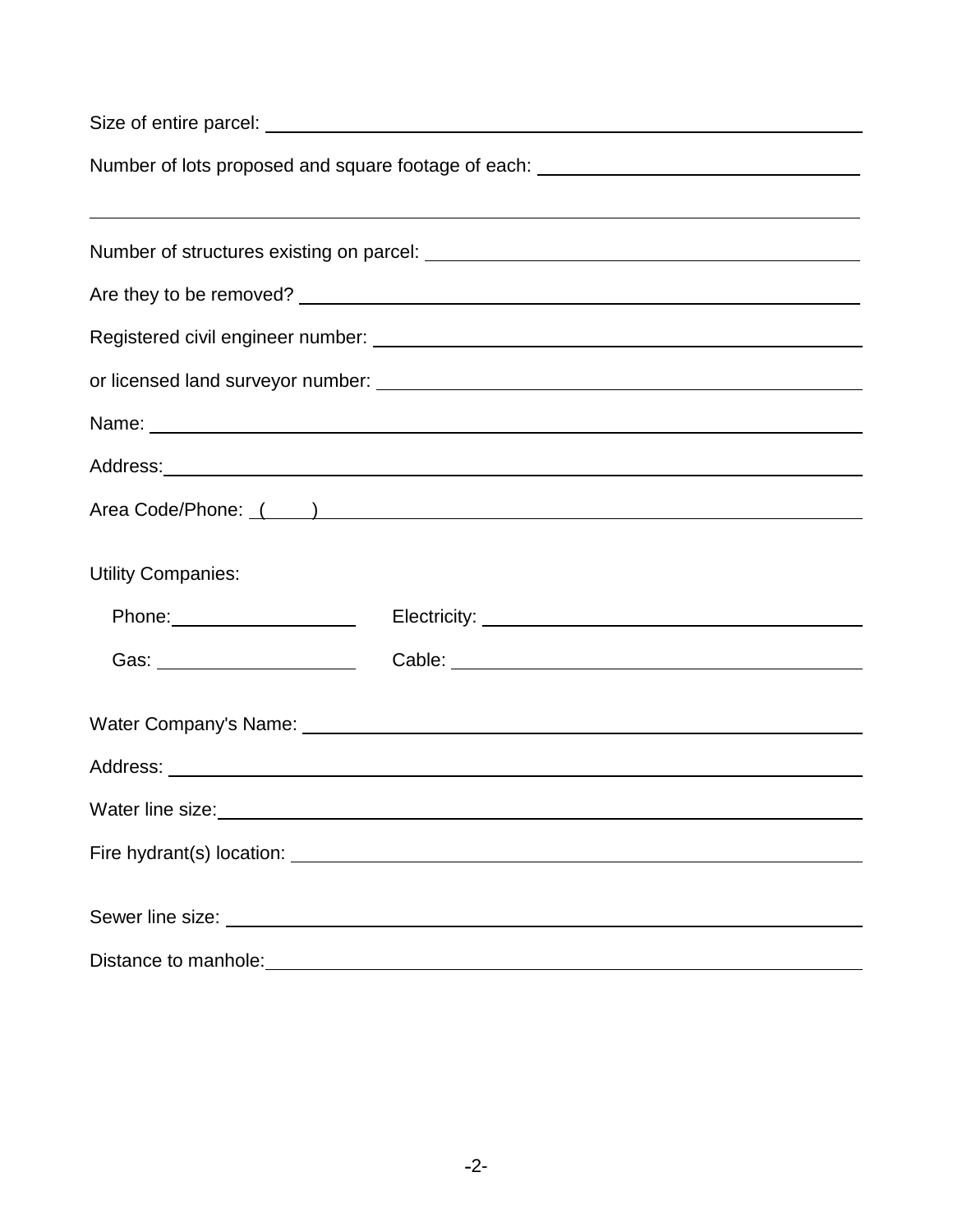| Number of lots proposed and square footage of each: ____________________________                                                                                                                                                    |  |  |  |                     |
|-------------------------------------------------------------------------------------------------------------------------------------------------------------------------------------------------------------------------------------|--|--|--|---------------------|
|                                                                                                                                                                                                                                     |  |  |  |                     |
|                                                                                                                                                                                                                                     |  |  |  |                     |
|                                                                                                                                                                                                                                     |  |  |  |                     |
|                                                                                                                                                                                                                                     |  |  |  |                     |
|                                                                                                                                                                                                                                     |  |  |  |                     |
| Name: Name:                                                                                                                                                                                                                         |  |  |  |                     |
|                                                                                                                                                                                                                                     |  |  |  |                     |
| Area Code/Phone: ( )                                                                                                                                                                                                                |  |  |  |                     |
| <b>Utility Companies:</b>                                                                                                                                                                                                           |  |  |  |                     |
| Phone: Phone Phone Phone Phone Phone Phone Phone Phone Phone Phone Phone Phone Phone Phone Phone Phone Phone Phone Phone Phone Phone Phone Phone Phone Phone Phone Phone Phone Phone Phone Phone Phone Phone Phone Phone Phone      |  |  |  |                     |
| Gas: _________________________                                                                                                                                                                                                      |  |  |  | Cable: <u>cable</u> |
|                                                                                                                                                                                                                                     |  |  |  |                     |
|                                                                                                                                                                                                                                     |  |  |  |                     |
| Water line size: Water line size:                                                                                                                                                                                                   |  |  |  |                     |
|                                                                                                                                                                                                                                     |  |  |  |                     |
| Sewer line size: <u>example and the state of</u> the size of the size of the state of the state of the state of the state of the state of the state of the state of the state of the state of the state of the state of the state o |  |  |  |                     |
| Distance to manhole: <u>contract and the contract of the contract of the contract of the contract of the contract of</u>                                                                                                            |  |  |  |                     |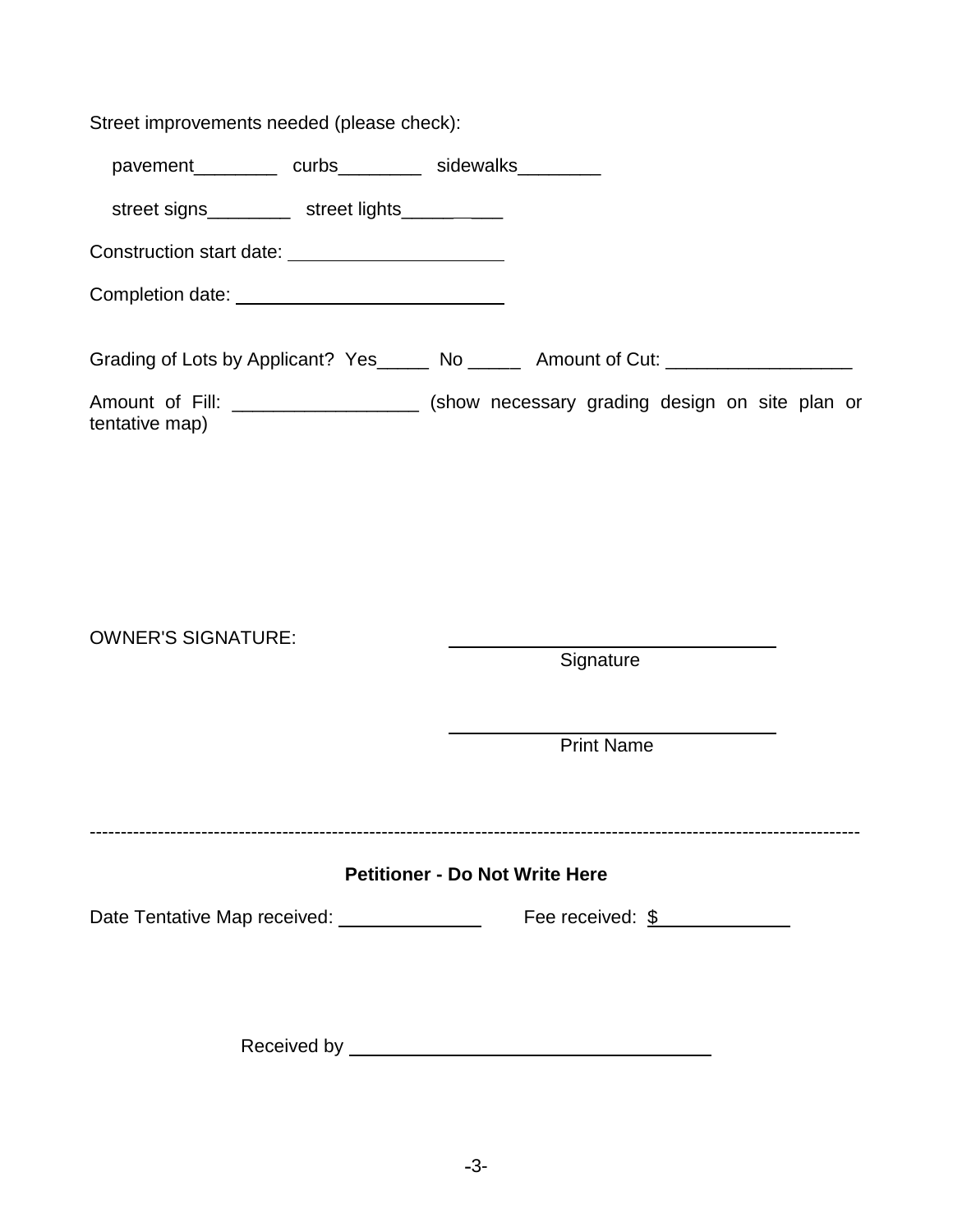Street improvements needed (please check):

pavement\_\_\_\_\_\_\_\_\_\_ curbs\_\_\_\_\_\_\_\_\_ sidewalks\_\_\_\_\_\_\_\_\_

street signs\_\_\_\_\_\_\_\_\_ street lights\_\_\_\_\_\_\_\_\_

Construction start date:

Completion date:

Grading of Lots by Applicant? Yes\_\_\_\_\_ No \_\_\_\_\_ Amount of Cut: \_\_\_\_\_\_\_\_\_\_\_\_\_\_\_\_\_

Amount of Fill: \_\_\_\_\_\_\_\_\_\_\_\_\_\_\_\_\_\_\_ (show necessary grading design on site plan or tentative map)

OWNER'S SIGNATURE:

**Signature** 

Print Name

----------------------------------------------------------------------------------------------------------------------------

### **Petitioner - Do Not Write Here**

Date Tentative Map received: Fee received: \$

Received by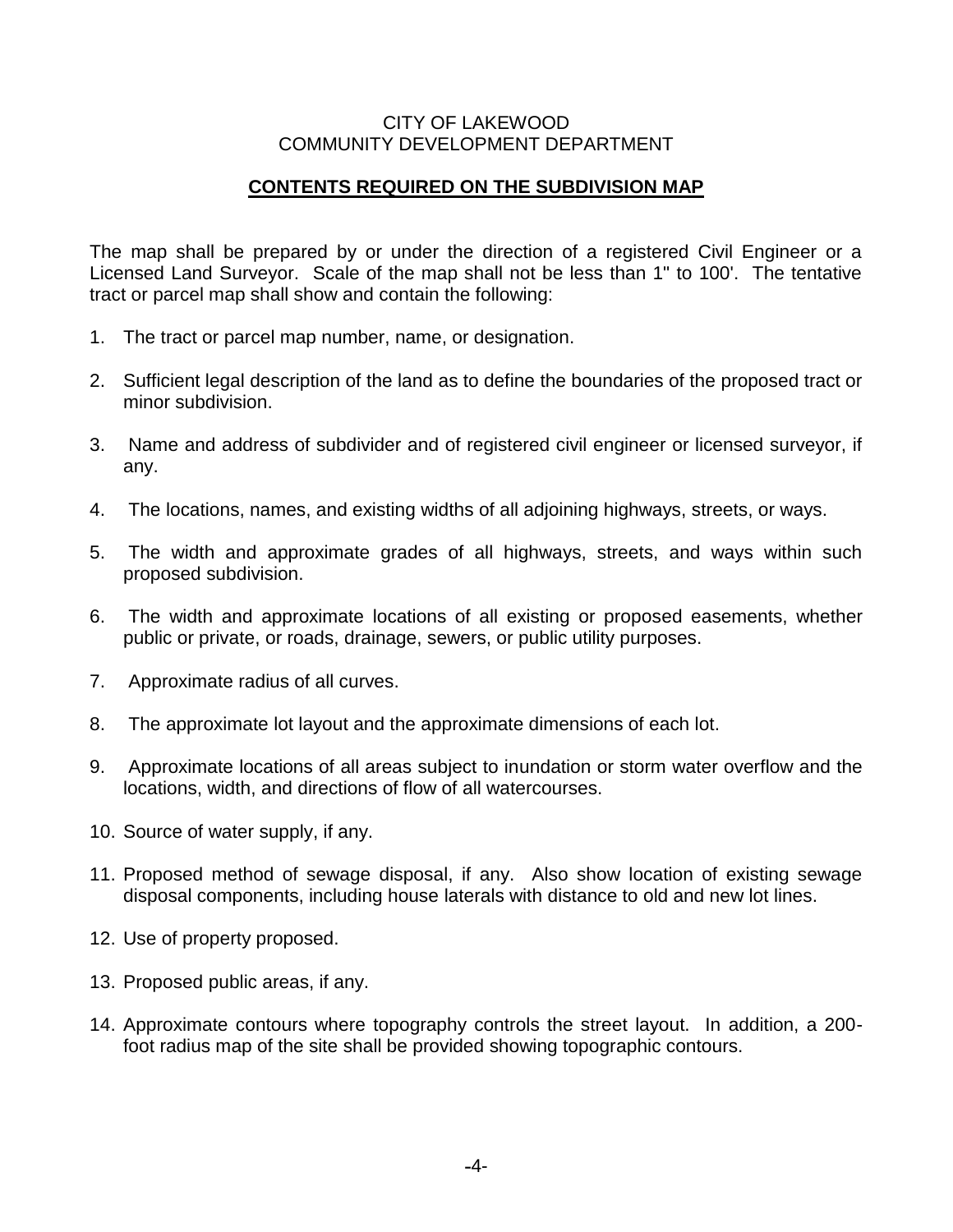#### CITY OF LAKEWOOD COMMUNITY DEVELOPMENT DEPARTMENT

### **CONTENTS REQUIRED ON THE SUBDIVISION MAP**

The map shall be prepared by or under the direction of a registered Civil Engineer or a Licensed Land Surveyor. Scale of the map shall not be less than 1" to 100'. The tentative tract or parcel map shall show and contain the following:

- 1. The tract or parcel map number, name, or designation.
- 2. Sufficient legal description of the land as to define the boundaries of the proposed tract or minor subdivision.
- 3. Name and address of subdivider and of registered civil engineer or licensed surveyor, if any.
- 4. The locations, names, and existing widths of all adjoining highways, streets, or ways.
- 5. The width and approximate grades of all highways, streets, and ways within such proposed subdivision.
- 6. The width and approximate locations of all existing or proposed easements, whether public or private, or roads, drainage, sewers, or public utility purposes.
- 7. Approximate radius of all curves.
- 8. The approximate lot layout and the approximate dimensions of each lot.
- 9. Approximate locations of all areas subject to inundation or storm water overflow and the locations, width, and directions of flow of all watercourses.
- 10. Source of water supply, if any.
- 11. Proposed method of sewage disposal, if any. Also show location of existing sewage disposal components, including house laterals with distance to old and new lot lines.
- 12. Use of property proposed.
- 13. Proposed public areas, if any.
- 14. Approximate contours where topography controls the street layout. In addition, a 200 foot radius map of the site shall be provided showing topographic contours.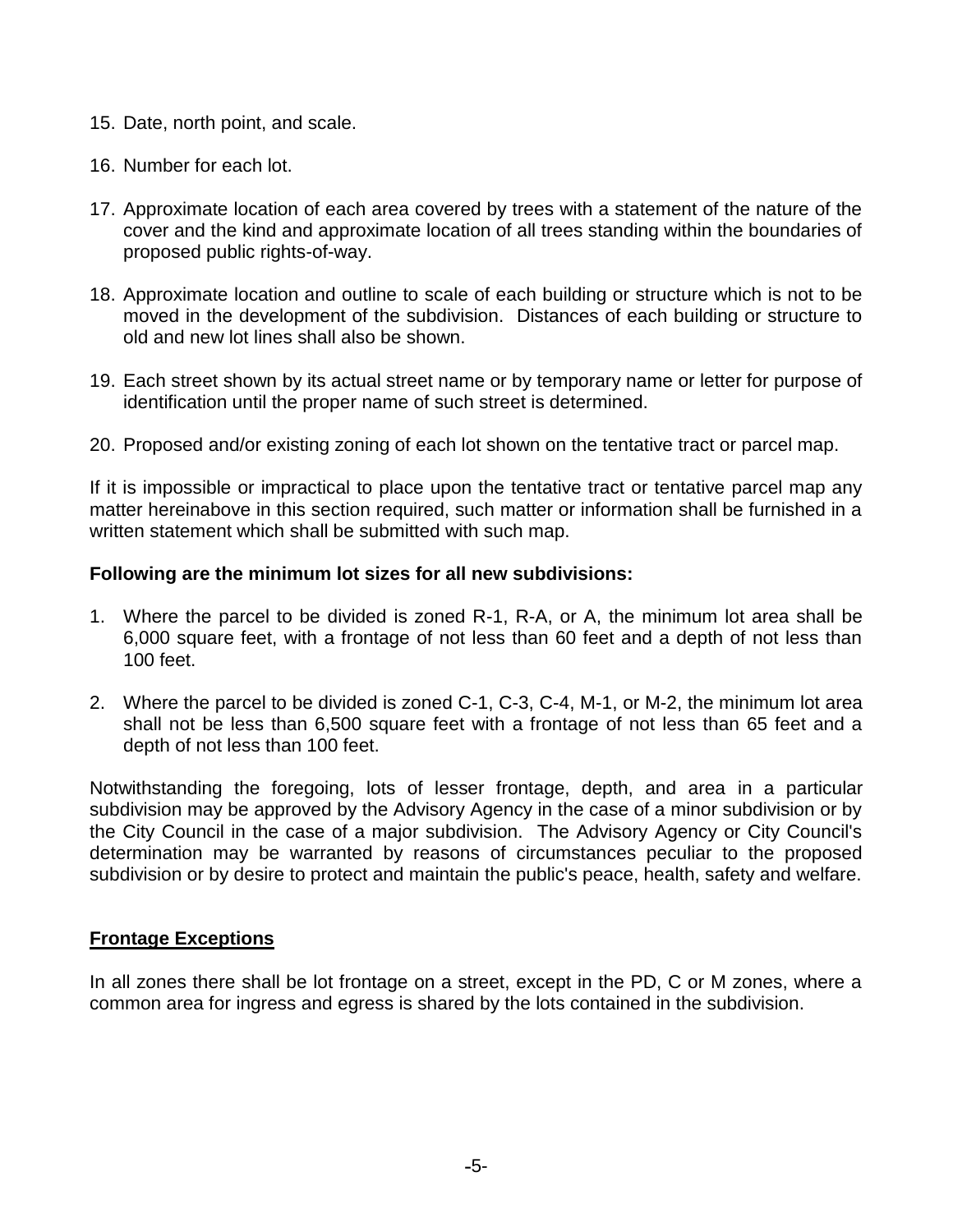- 15. Date, north point, and scale.
- 16. Number for each lot.
- 17. Approximate location of each area covered by trees with a statement of the nature of the cover and the kind and approximate location of all trees standing within the boundaries of proposed public rights-of-way.
- 18. Approximate location and outline to scale of each building or structure which is not to be moved in the development of the subdivision. Distances of each building or structure to old and new lot lines shall also be shown.
- 19. Each street shown by its actual street name or by temporary name or letter for purpose of identification until the proper name of such street is determined.
- 20. Proposed and/or existing zoning of each lot shown on the tentative tract or parcel map.

If it is impossible or impractical to place upon the tentative tract or tentative parcel map any matter hereinabove in this section required, such matter or information shall be furnished in a written statement which shall be submitted with such map.

#### **Following are the minimum lot sizes for all new subdivisions:**

- 1. Where the parcel to be divided is zoned R-1, R-A, or A, the minimum lot area shall be 6,000 square feet, with a frontage of not less than 60 feet and a depth of not less than 100 feet.
- 2. Where the parcel to be divided is zoned C-1, C-3, C-4, M-1, or M-2, the minimum lot area shall not be less than 6,500 square feet with a frontage of not less than 65 feet and a depth of not less than 100 feet.

Notwithstanding the foregoing, lots of lesser frontage, depth, and area in a particular subdivision may be approved by the Advisory Agency in the case of a minor subdivision or by the City Council in the case of a major subdivision. The Advisory Agency or City Council's determination may be warranted by reasons of circumstances peculiar to the proposed subdivision or by desire to protect and maintain the public's peace, health, safety and welfare.

#### **Frontage Exceptions**

In all zones there shall be lot frontage on a street, except in the PD, C or M zones, where a common area for ingress and egress is shared by the lots contained in the subdivision.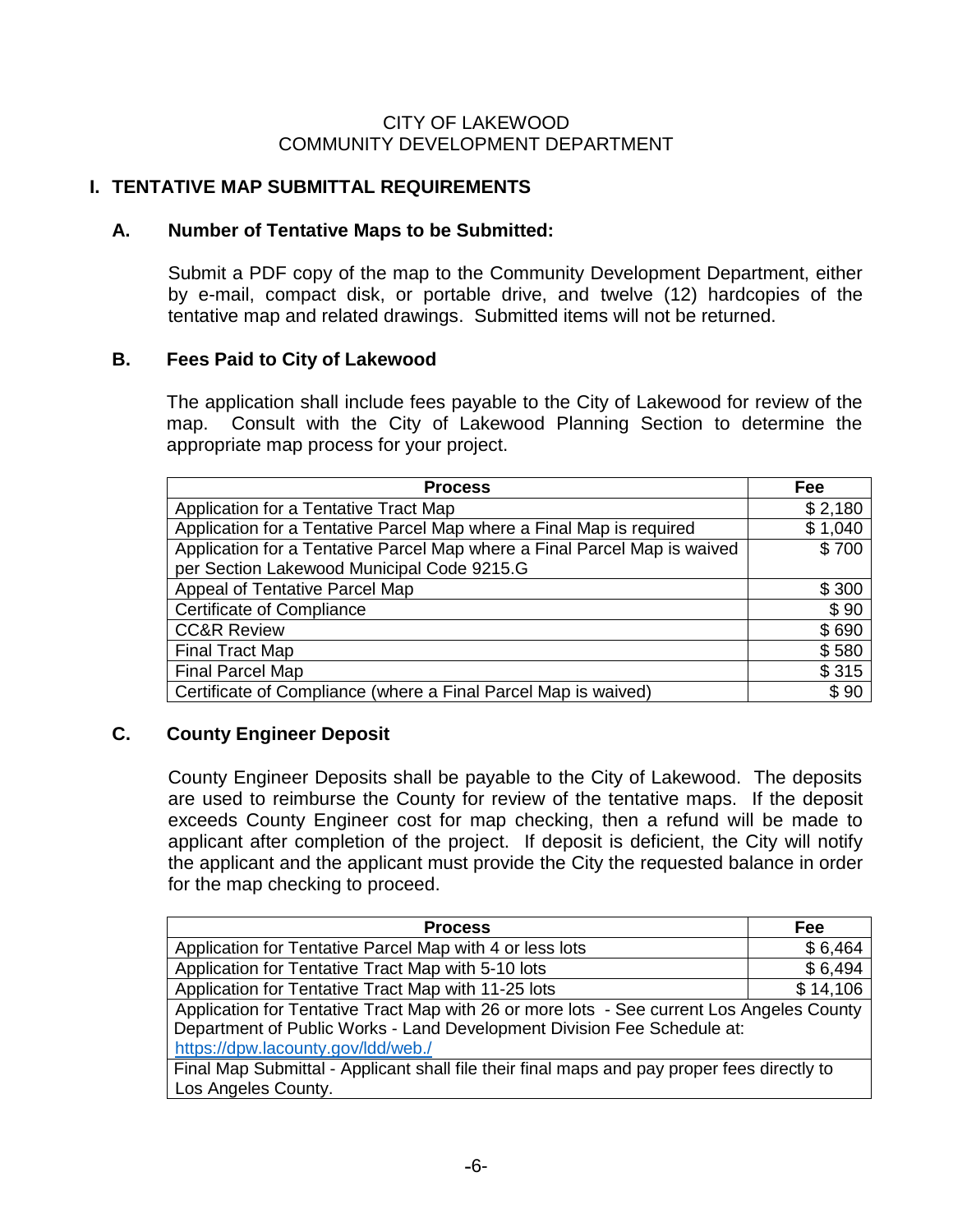### CITY OF LAKEWOOD COMMUNITY DEVELOPMENT DEPARTMENT

## **I. TENTATIVE MAP SUBMITTAL REQUIREMENTS**

## **A. Number of Tentative Maps to be Submitted:**

Submit a PDF copy of the map to the Community Development Department, either by e-mail, compact disk, or portable drive, and twelve (12) hardcopies of the tentative map and related drawings. Submitted items will not be returned.

## **B. Fees Paid to City of Lakewood**

The application shall include fees payable to the City of Lakewood for review of the map. Consult with the City of Lakewood Planning Section to determine the appropriate map process for your project.

| <b>Process</b>                                                            | Fee     |
|---------------------------------------------------------------------------|---------|
| Application for a Tentative Tract Map                                     | \$2,180 |
| Application for a Tentative Parcel Map where a Final Map is required      | \$1,040 |
| Application for a Tentative Parcel Map where a Final Parcel Map is waived | \$700   |
| per Section Lakewood Municipal Code 9215.G                                |         |
| Appeal of Tentative Parcel Map                                            | \$300   |
| Certificate of Compliance                                                 | \$90    |
| <b>CC&amp;R Review</b>                                                    | \$690   |
| <b>Final Tract Map</b>                                                    | \$580   |
| <b>Final Parcel Map</b>                                                   | \$315   |
| Certificate of Compliance (where a Final Parcel Map is waived)            | \$90    |

## **C. County Engineer Deposit**

County Engineer Deposits shall be payable to the City of Lakewood. The deposits are used to reimburse the County for review of the tentative maps. If the deposit exceeds County Engineer cost for map checking, then a refund will be made to applicant after completion of the project. If deposit is deficient, the City will notify the applicant and the applicant must provide the City the requested balance in order for the map checking to proceed.

| <b>Process</b>                                                                              | Fee      |  |  |  |
|---------------------------------------------------------------------------------------------|----------|--|--|--|
| Application for Tentative Parcel Map with 4 or less lots                                    | \$6,464  |  |  |  |
| Application for Tentative Tract Map with 5-10 lots                                          | \$6,494  |  |  |  |
| Application for Tentative Tract Map with 11-25 lots                                         | \$14,106 |  |  |  |
| Application for Tentative Tract Map with 26 or more lots - See current Los Angeles County   |          |  |  |  |
| Department of Public Works - Land Development Division Fee Schedule at:                     |          |  |  |  |
| https://dpw.lacounty.gov/ldd/web./                                                          |          |  |  |  |
| Final Map Submittal - Applicant shall file their final maps and pay proper fees directly to |          |  |  |  |
| Los Angeles County.                                                                         |          |  |  |  |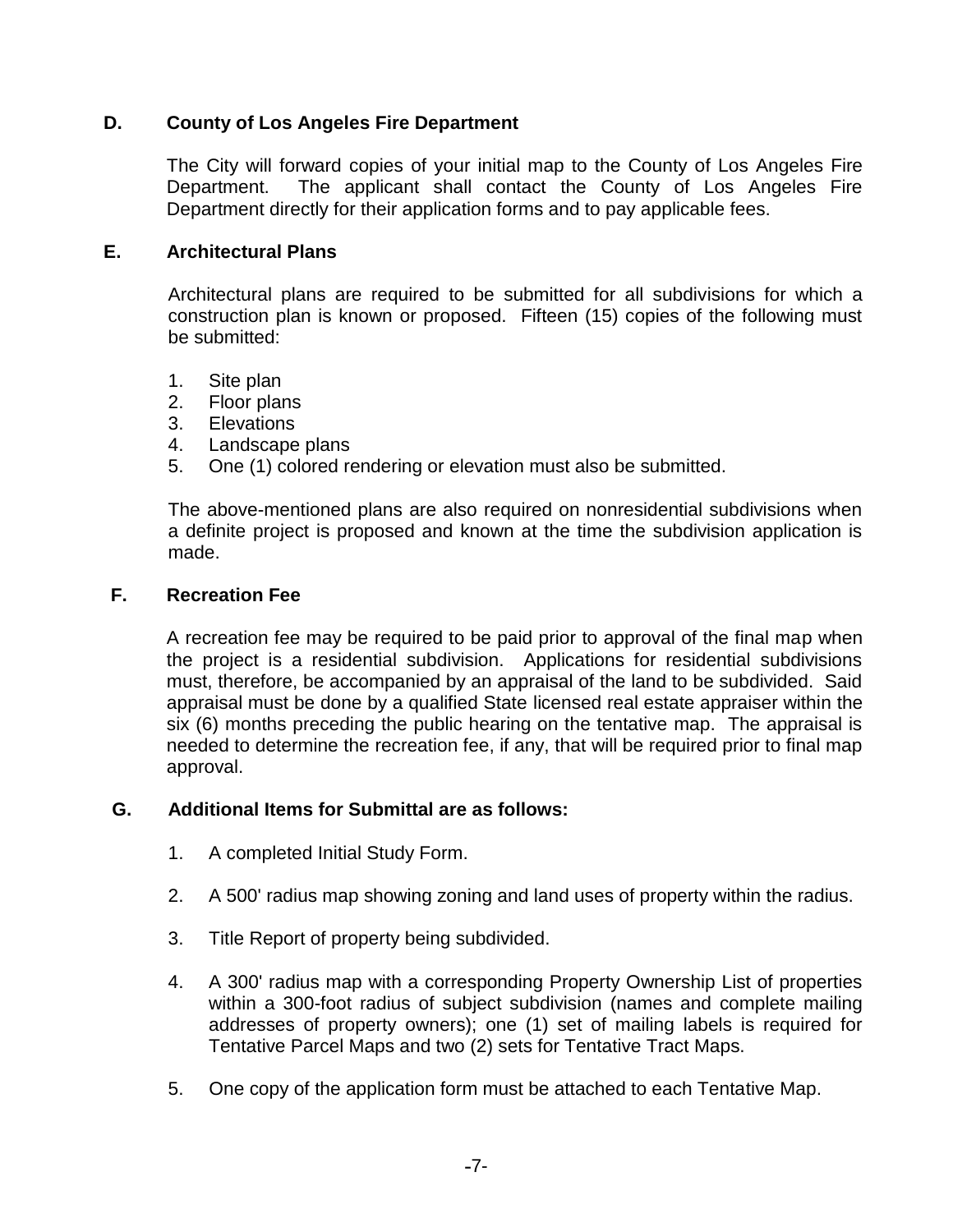### **D. County of Los Angeles Fire Department**

The City will forward copies of your initial map to the County of Los Angeles Fire Department. The applicant shall contact the County of Los Angeles Fire Department directly for their application forms and to pay applicable fees.

### **E. Architectural Plans**

Architectural plans are required to be submitted for all subdivisions for which a construction plan is known or proposed. Fifteen (15) copies of the following must be submitted:

- 1. Site plan
- 2. Floor plans
- 3. Elevations
- 4. Landscape plans
- 5. One (1) colored rendering or elevation must also be submitted.

The above-mentioned plans are also required on nonresidential subdivisions when a definite project is proposed and known at the time the subdivision application is made.

### **F. Recreation Fee**

A recreation fee may be required to be paid prior to approval of the final map when the project is a residential subdivision. Applications for residential subdivisions must, therefore, be accompanied by an appraisal of the land to be subdivided. Said appraisal must be done by a qualified State licensed real estate appraiser within the six (6) months preceding the public hearing on the tentative map. The appraisal is needed to determine the recreation fee, if any, that will be required prior to final map approval.

### **G. Additional Items for Submittal are as follows:**

- 1. A completed Initial Study Form.
- 2. A 500' radius map showing zoning and land uses of property within the radius.
- 3. Title Report of property being subdivided.
- 4. A 300' radius map with a corresponding Property Ownership List of properties within a 300-foot radius of subject subdivision (names and complete mailing addresses of property owners); one (1) set of mailing labels is required for Tentative Parcel Maps and two (2) sets for Tentative Tract Maps.
- 5. One copy of the application form must be attached to each Tentative Map.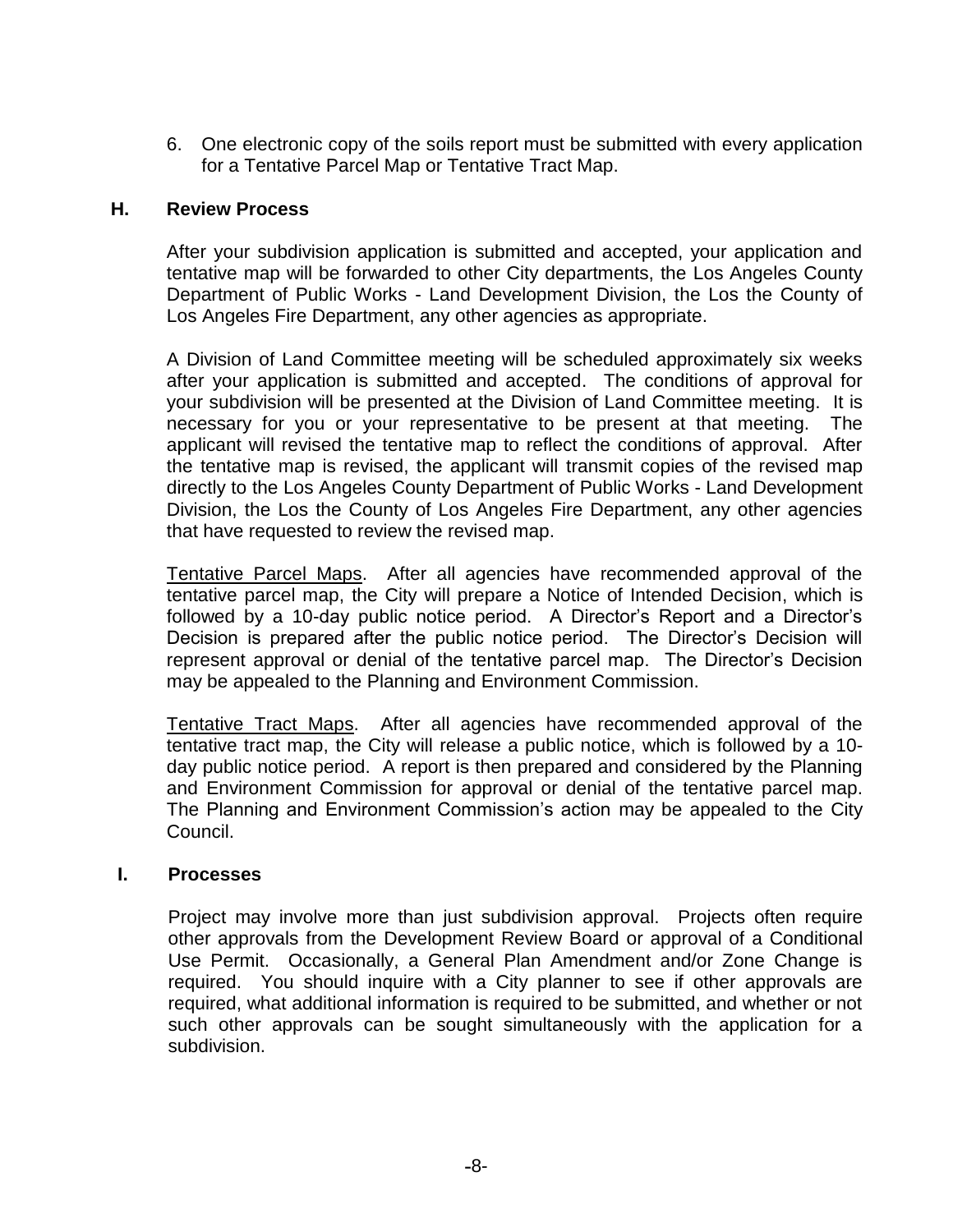6. One electronic copy of the soils report must be submitted with every application for a Tentative Parcel Map or Tentative Tract Map.

#### **H. Review Process**

After your subdivision application is submitted and accepted, your application and tentative map will be forwarded to other City departments, the Los Angeles County Department of Public Works - Land Development Division, the Los the County of Los Angeles Fire Department, any other agencies as appropriate.

A Division of Land Committee meeting will be scheduled approximately six weeks after your application is submitted and accepted. The conditions of approval for your subdivision will be presented at the Division of Land Committee meeting. It is necessary for you or your representative to be present at that meeting. The applicant will revised the tentative map to reflect the conditions of approval. After the tentative map is revised, the applicant will transmit copies of the revised map directly to the Los Angeles County Department of Public Works - Land Development Division, the Los the County of Los Angeles Fire Department, any other agencies that have requested to review the revised map.

Tentative Parcel Maps. After all agencies have recommended approval of the tentative parcel map, the City will prepare a Notice of Intended Decision, which is followed by a 10-day public notice period. A Director's Report and a Director's Decision is prepared after the public notice period. The Director's Decision will represent approval or denial of the tentative parcel map. The Director's Decision may be appealed to the Planning and Environment Commission.

Tentative Tract Maps. After all agencies have recommended approval of the tentative tract map, the City will release a public notice, which is followed by a 10 day public notice period. A report is then prepared and considered by the Planning and Environment Commission for approval or denial of the tentative parcel map. The Planning and Environment Commission's action may be appealed to the City Council.

### **I. Processes**

Project may involve more than just subdivision approval. Projects often require other approvals from the Development Review Board or approval of a Conditional Use Permit. Occasionally, a General Plan Amendment and/or Zone Change is required. You should inquire with a City planner to see if other approvals are required, what additional information is required to be submitted, and whether or not such other approvals can be sought simultaneously with the application for a subdivision.